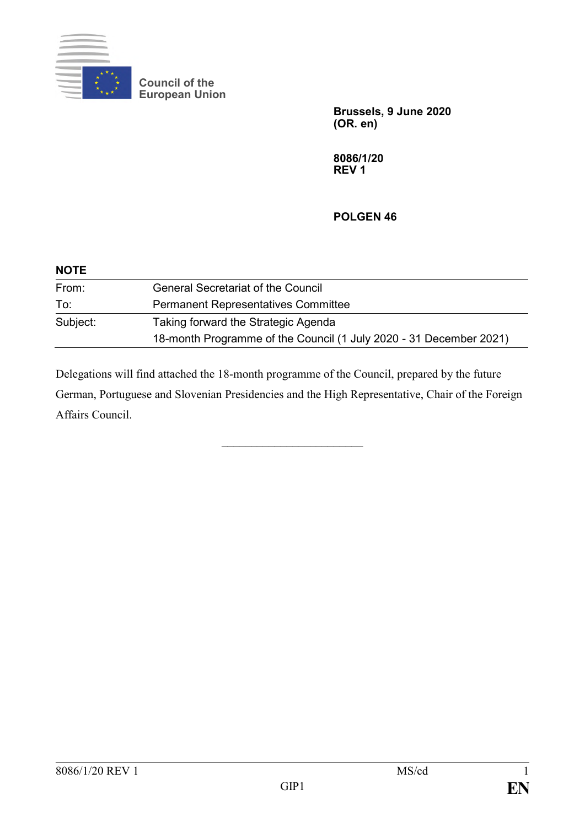

**Council of the European Union**

> **Brussels, 9 June 2020 (OR. en)**

**8086/1/20 REV 1**

**POLGEN 46**

| <b>NOTE</b> |                                                                    |
|-------------|--------------------------------------------------------------------|
| From:       | <b>General Secretariat of the Council</b>                          |
| To:         | <b>Permanent Representatives Committee</b>                         |
| Subject:    | Taking forward the Strategic Agenda                                |
|             | 18-month Programme of the Council (1 July 2020 - 31 December 2021) |

Delegations will find attached the 18-month programme of the Council, prepared by the future German, Portuguese and Slovenian Presidencies and the High Representative, Chair of the Foreign Affairs Council.

\_\_\_\_\_\_\_\_\_\_\_\_\_\_\_\_\_\_\_\_\_\_\_\_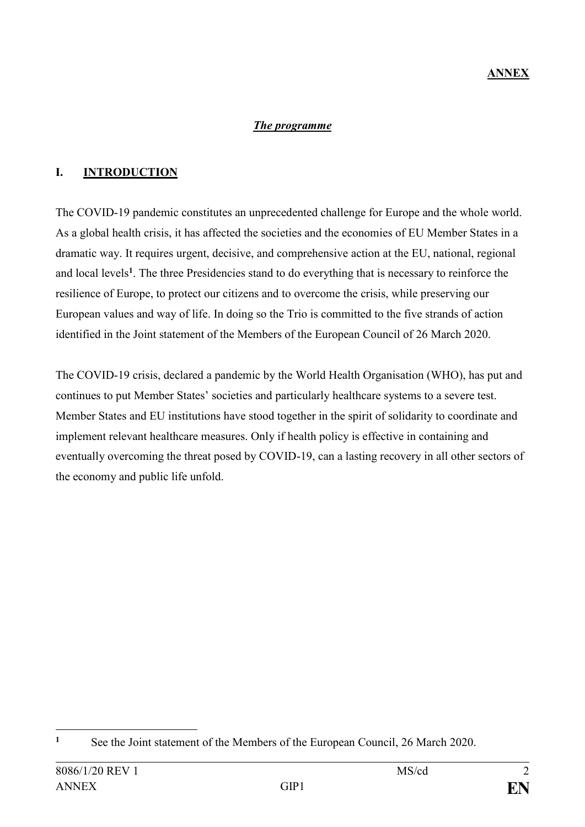### *The programme*

# **I. INTRODUCTION**

The COVID-19 pandemic constitutes an unprecedented challenge for Europe and the whole world. As a global health crisis, it has affected the societies and the economies of EU Member States in a dramatic way. It requires urgent, decisive, and comprehensive action at the EU, national, regional and local levels**<sup>1</sup>** . The three Presidencies stand to do everything that is necessary to reinforce the resilience of Europe, to protect our citizens and to overcome the crisis, while preserving our European values and way of life. In doing so the Trio is committed to the five strands of action identified in the Joint statement of the Members of the European Council of 26 March 2020.

The COVID-19 crisis, declared a pandemic by the World Health Organisation (WHO), has put and continues to put Member States' societies and particularly healthcare systems to a severe test. Member States and EU institutions have stood together in the spirit of solidarity to coordinate and implement relevant healthcare measures. Only if health policy is effective in containing and eventually overcoming the threat posed by COVID-19, can a lasting recovery in all other sectors of the economy and public life unfold.

<sup>1</sup> <sup>1</sup> See the Joint statement of the Members of the European Council, 26 March 2020.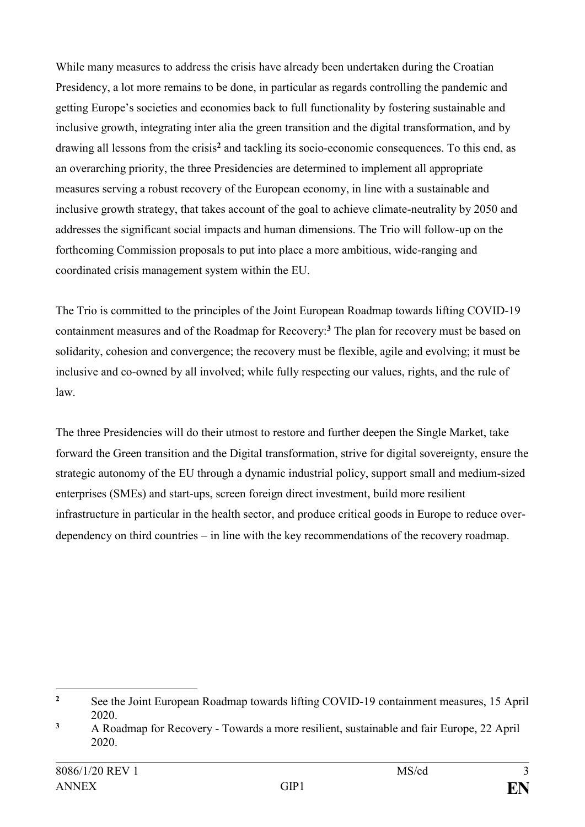While many measures to address the crisis have already been undertaken during the Croatian Presidency, a lot more remains to be done, in particular as regards controlling the pandemic and getting Europe's societies and economies back to full functionality by fostering sustainable and inclusive growth, integrating inter alia the green transition and the digital transformation, and by drawing all lessons from the crisis**<sup>2</sup>** and tackling its socio-economic consequences. To this end, as an overarching priority, the three Presidencies are determined to implement all appropriate measures serving a robust recovery of the European economy, in line with a sustainable and inclusive growth strategy, that takes account of the goal to achieve climate-neutrality by 2050 and addresses the significant social impacts and human dimensions. The Trio will follow-up on the forthcoming Commission proposals to put into place a more ambitious, wide-ranging and coordinated crisis management system within the EU.

The Trio is committed to the principles of the Joint European Roadmap towards lifting COVID-19 containment measures and of the Roadmap for Recovery:**<sup>3</sup>** The plan for recovery must be based on solidarity, cohesion and convergence; the recovery must be flexible, agile and evolving; it must be inclusive and co-owned by all involved; while fully respecting our values, rights, and the rule of law.

The three Presidencies will do their utmost to restore and further deepen the Single Market, take forward the Green transition and the Digital transformation, strive for digital sovereignty, ensure the strategic autonomy of the EU through a dynamic industrial policy, support small and medium-sized enterprises (SMEs) and start-ups, screen foreign direct investment, build more resilient infrastructure in particular in the health sector, and produce critical goods in Europe to reduce overdependency on third countries – in line with the key recommendations of the recovery roadmap.

1

<sup>&</sup>lt;sup>2</sup> See the Joint European Roadmap towards lifting COVID-19 containment measures, 15 April 2020.

**<sup>3</sup>** A Roadmap for Recovery - Towards a more resilient, sustainable and fair Europe, 22 April 2020.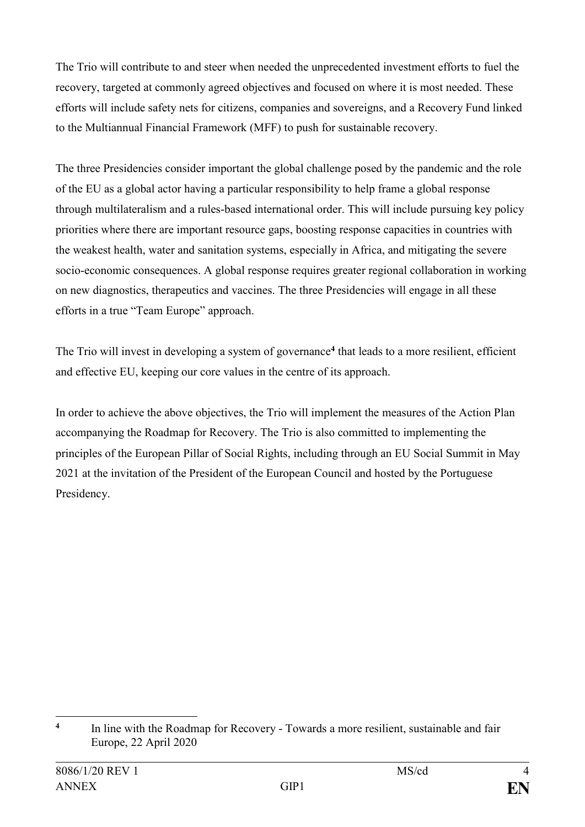The Trio will contribute to and steer when needed the unprecedented investment efforts to fuel the recovery, targeted at commonly agreed objectives and focused on where it is most needed. These efforts will include safety nets for citizens, companies and sovereigns, and a Recovery Fund linked to the Multiannual Financial Framework (MFF) to push for sustainable recovery.

The three Presidencies consider important the global challenge posed by the pandemic and the role of the EU as a global actor having a particular responsibility to help frame a global response through multilateralism and a rules-based international order. This will include pursuing key policy priorities where there are important resource gaps, boosting response capacities in countries with the weakest health, water and sanitation systems, especially in Africa, and mitigating the severe socio-economic consequences. A global response requires greater regional collaboration in working on new diagnostics, therapeutics and vaccines. The three Presidencies will engage in all these efforts in a true "Team Europe" approach.

The Trio will invest in developing a system of governance**<sup>4</sup>** that leads to a more resilient, efficient and effective EU, keeping our core values in the centre of its approach.

In order to achieve the above objectives, the Trio will implement the measures of the Action Plan accompanying the Roadmap for Recovery. The Trio is also committed to implementing the principles of the European Pillar of Social Rights, including through an EU Social Summit in May 2021 at the invitation of the President of the European Council and hosted by the Portuguese Presidency.

1

**<sup>4</sup>** In line with the Roadmap for Recovery - Towards a more resilient, sustainable and fair Europe, 22 April 2020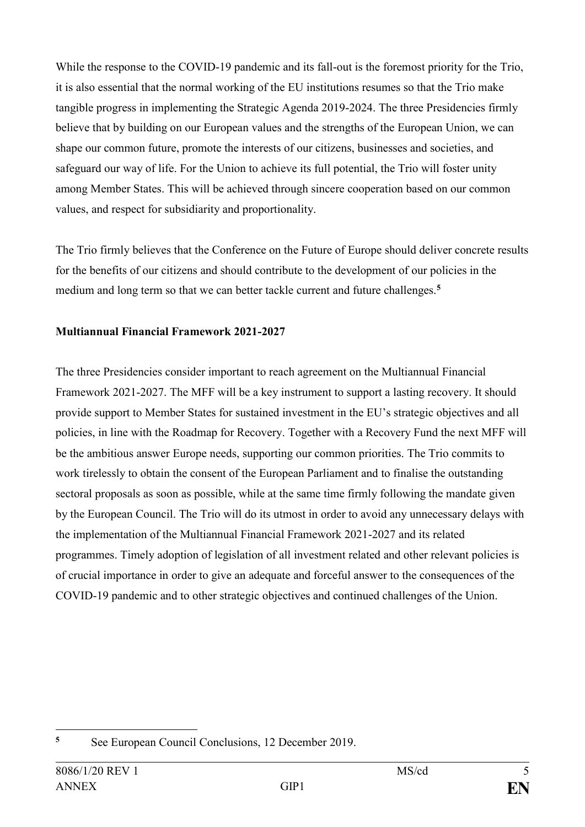While the response to the COVID-19 pandemic and its fall-out is the foremost priority for the Trio, it is also essential that the normal working of the EU institutions resumes so that the Trio make tangible progress in implementing the Strategic Agenda 2019-2024. The three Presidencies firmly believe that by building on our European values and the strengths of the European Union, we can shape our common future, promote the interests of our citizens, businesses and societies, and safeguard our way of life. For the Union to achieve its full potential, the Trio will foster unity among Member States. This will be achieved through sincere cooperation based on our common values, and respect for subsidiarity and proportionality.

The Trio firmly believes that the Conference on the Future of Europe should deliver concrete results for the benefits of our citizens and should contribute to the development of our policies in the medium and long term so that we can better tackle current and future challenges.**<sup>5</sup>**

### **Multiannual Financial Framework 2021-2027**

The three Presidencies consider important to reach agreement on the Multiannual Financial Framework 2021-2027. The MFF will be a key instrument to support a lasting recovery. It should provide support to Member States for sustained investment in the EU's strategic objectives and all policies, in line with the Roadmap for Recovery. Together with a Recovery Fund the next MFF will be the ambitious answer Europe needs, supporting our common priorities. The Trio commits to work tirelessly to obtain the consent of the European Parliament and to finalise the outstanding sectoral proposals as soon as possible, while at the same time firmly following the mandate given by the European Council. The Trio will do its utmost in order to avoid any unnecessary delays with the implementation of the Multiannual Financial Framework 2021-2027 and its related programmes. Timely adoption of legislation of all investment related and other relevant policies is of crucial importance in order to give an adequate and forceful answer to the consequences of the COVID-19 pandemic and to other strategic objectives and continued challenges of the Union.

<sup>1</sup> **<sup>5</sup>** See European Council Conclusions, 12 December 2019.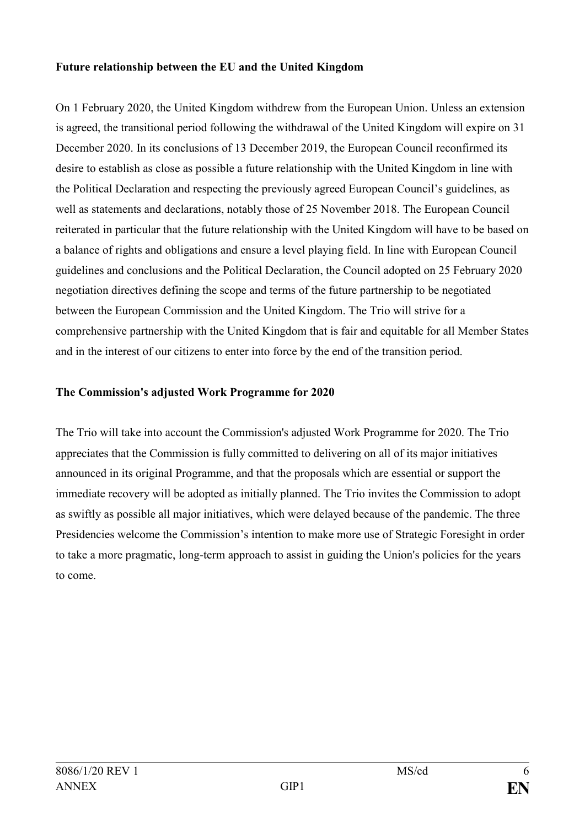### **Future relationship between the EU and the United Kingdom**

On 1 February 2020, the United Kingdom withdrew from the European Union. Unless an extension is agreed, the transitional period following the withdrawal of the United Kingdom will expire on 31 December 2020. In its conclusions of 13 December 2019, the European Council reconfirmed its desire to establish as close as possible a future relationship with the United Kingdom in line with the Political Declaration and respecting the previously agreed European Council's guidelines, as well as statements and declarations, notably those of 25 November 2018. The European Council reiterated in particular that the future relationship with the United Kingdom will have to be based on a balance of rights and obligations and ensure a level playing field. In line with European Council guidelines and conclusions and the Political Declaration, the Council adopted on 25 February 2020 negotiation directives defining the scope and terms of the future partnership to be negotiated between the European Commission and the United Kingdom. The Trio will strive for a comprehensive partnership with the United Kingdom that is fair and equitable for all Member States and in the interest of our citizens to enter into force by the end of the transition period.

### **The Commission's adjusted Work Programme for 2020**

The Trio will take into account the Commission's adjusted Work Programme for 2020. The Trio appreciates that the Commission is fully committed to delivering on all of its major initiatives announced in its original Programme, and that the proposals which are essential or support the immediate recovery will be adopted as initially planned. The Trio invites the Commission to adopt as swiftly as possible all major initiatives, which were delayed because of the pandemic. The three Presidencies welcome the Commission's intention to make more use of Strategic Foresight in order to take a more pragmatic, long-term approach to assist in guiding the Union's policies for the years to come.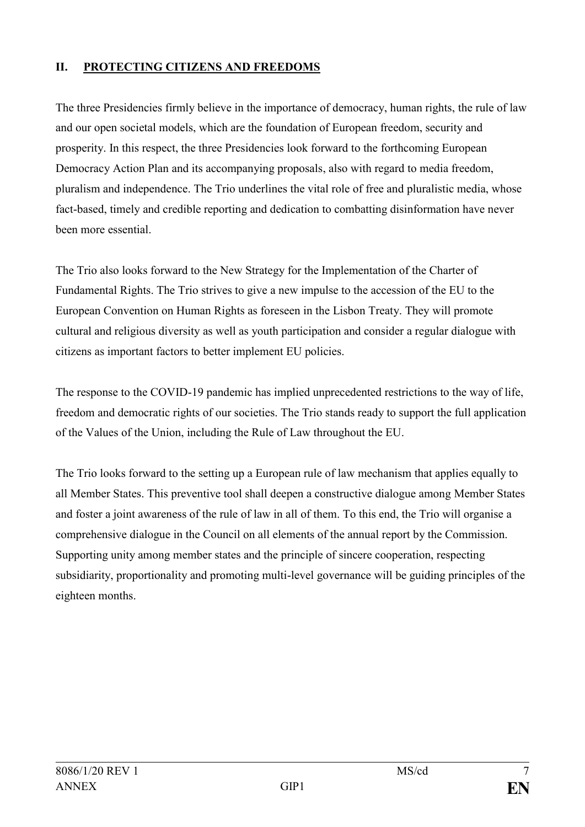## **II. PROTECTING CITIZENS AND FREEDOMS**

The three Presidencies firmly believe in the importance of democracy, human rights, the rule of law and our open societal models, which are the foundation of European freedom, security and prosperity. In this respect, the three Presidencies look forward to the forthcoming European Democracy Action Plan and its accompanying proposals, also with regard to media freedom, pluralism and independence. The Trio underlines the vital role of free and pluralistic media, whose fact-based, timely and credible reporting and dedication to combatting disinformation have never been more essential.

The Trio also looks forward to the New Strategy for the Implementation of the Charter of Fundamental Rights. The Trio strives to give a new impulse to the accession of the EU to the European Convention on Human Rights as foreseen in the Lisbon Treaty. They will promote cultural and religious diversity as well as youth participation and consider a regular dialogue with citizens as important factors to better implement EU policies.

The response to the COVID-19 pandemic has implied unprecedented restrictions to the way of life, freedom and democratic rights of our societies. The Trio stands ready to support the full application of the Values of the Union, including the Rule of Law throughout the EU.

The Trio looks forward to the setting up a European rule of law mechanism that applies equally to all Member States. This preventive tool shall deepen a constructive dialogue among Member States and foster a joint awareness of the rule of law in all of them. To this end, the Trio will organise a comprehensive dialogue in the Council on all elements of the annual report by the Commission. Supporting unity among member states and the principle of sincere cooperation, respecting subsidiarity, proportionality and promoting multi-level governance will be guiding principles of the eighteen months.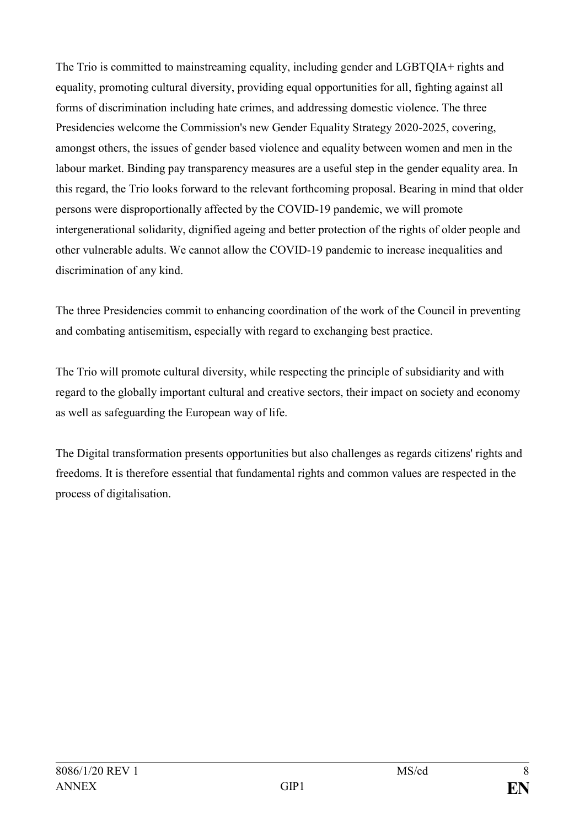The Trio is committed to mainstreaming equality, including gender and LGBTQIA+ rights and equality, promoting cultural diversity, providing equal opportunities for all, fighting against all forms of discrimination including hate crimes, and addressing domestic violence. The three Presidencies welcome the Commission's new Gender Equality Strategy 2020-2025, covering, amongst others, the issues of gender based violence and equality between women and men in the labour market. Binding pay transparency measures are a useful step in the gender equality area. In this regard, the Trio looks forward to the relevant forthcoming proposal. Bearing in mind that older persons were disproportionally affected by the COVID-19 pandemic, we will promote intergenerational solidarity, dignified ageing and better protection of the rights of older people and other vulnerable adults. We cannot allow the COVID-19 pandemic to increase inequalities and discrimination of any kind.

The three Presidencies commit to enhancing coordination of the work of the Council in preventing and combating antisemitism, especially with regard to exchanging best practice.

The Trio will promote cultural diversity, while respecting the principle of subsidiarity and with regard to the globally important cultural and creative sectors, their impact on society and economy as well as safeguarding the European way of life.

The Digital transformation presents opportunities but also challenges as regards citizens' rights and freedoms. It is therefore essential that fundamental rights and common values are respected in the process of digitalisation.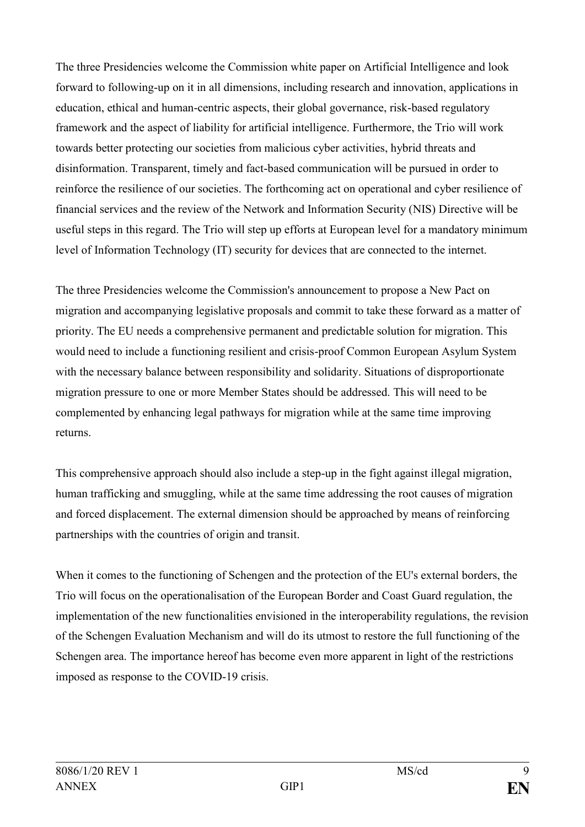The three Presidencies welcome the Commission white paper on Artificial Intelligence and look forward to following-up on it in all dimensions, including research and innovation, applications in education, ethical and human-centric aspects, their global governance, risk-based regulatory framework and the aspect of liability for artificial intelligence. Furthermore, the Trio will work towards better protecting our societies from malicious cyber activities, hybrid threats and disinformation. Transparent, timely and fact-based communication will be pursued in order to reinforce the resilience of our societies. The forthcoming act on operational and cyber resilience of financial services and the review of the Network and Information Security (NIS) Directive will be useful steps in this regard. The Trio will step up efforts at European level for a mandatory minimum level of Information Technology (IT) security for devices that are connected to the internet.

The three Presidencies welcome the Commission's announcement to propose a New Pact on migration and accompanying legislative proposals and commit to take these forward as a matter of priority. The EU needs a comprehensive permanent and predictable solution for migration. This would need to include a functioning resilient and crisis-proof Common European Asylum System with the necessary balance between responsibility and solidarity. Situations of disproportionate migration pressure to one or more Member States should be addressed. This will need to be complemented by enhancing legal pathways for migration while at the same time improving returns.

This comprehensive approach should also include a step-up in the fight against illegal migration, human trafficking and smuggling, while at the same time addressing the root causes of migration and forced displacement. The external dimension should be approached by means of reinforcing partnerships with the countries of origin and transit.

When it comes to the functioning of Schengen and the protection of the EU's external borders, the Trio will focus on the operationalisation of the European Border and Coast Guard regulation, the implementation of the new functionalities envisioned in the interoperability regulations, the revision of the Schengen Evaluation Mechanism and will do its utmost to restore the full functioning of the Schengen area. The importance hereof has become even more apparent in light of the restrictions imposed as response to the COVID-19 crisis.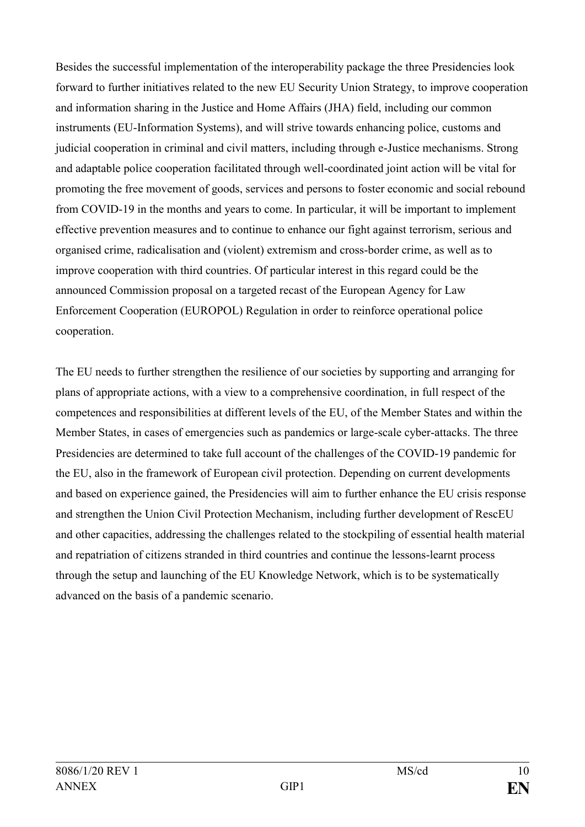Besides the successful implementation of the interoperability package the three Presidencies look forward to further initiatives related to the new EU Security Union Strategy, to improve cooperation and information sharing in the Justice and Home Affairs (JHA) field, including our common instruments (EU-Information Systems), and will strive towards enhancing police, customs and judicial cooperation in criminal and civil matters, including through e-Justice mechanisms. Strong and adaptable police cooperation facilitated through well-coordinated joint action will be vital for promoting the free movement of goods, services and persons to foster economic and social rebound from COVID-19 in the months and years to come. In particular, it will be important to implement effective prevention measures and to continue to enhance our fight against terrorism, serious and organised crime, radicalisation and (violent) extremism and cross-border crime, as well as to improve cooperation with third countries. Of particular interest in this regard could be the announced Commission proposal on a targeted recast of the European Agency for Law Enforcement Cooperation (EUROPOL) Regulation in order to reinforce operational police cooperation.

The EU needs to further strengthen the resilience of our societies by supporting and arranging for plans of appropriate actions, with a view to a comprehensive coordination, in full respect of the competences and responsibilities at different levels of the EU, of the Member States and within the Member States, in cases of emergencies such as pandemics or large-scale cyber-attacks. The three Presidencies are determined to take full account of the challenges of the COVID-19 pandemic for the EU, also in the framework of European civil protection. Depending on current developments and based on experience gained, the Presidencies will aim to further enhance the EU crisis response and strengthen the Union Civil Protection Mechanism, including further development of RescEU and other capacities, addressing the challenges related to the stockpiling of essential health material and repatriation of citizens stranded in third countries and continue the lessons-learnt process through the setup and launching of the EU Knowledge Network, which is to be systematically advanced on the basis of a pandemic scenario.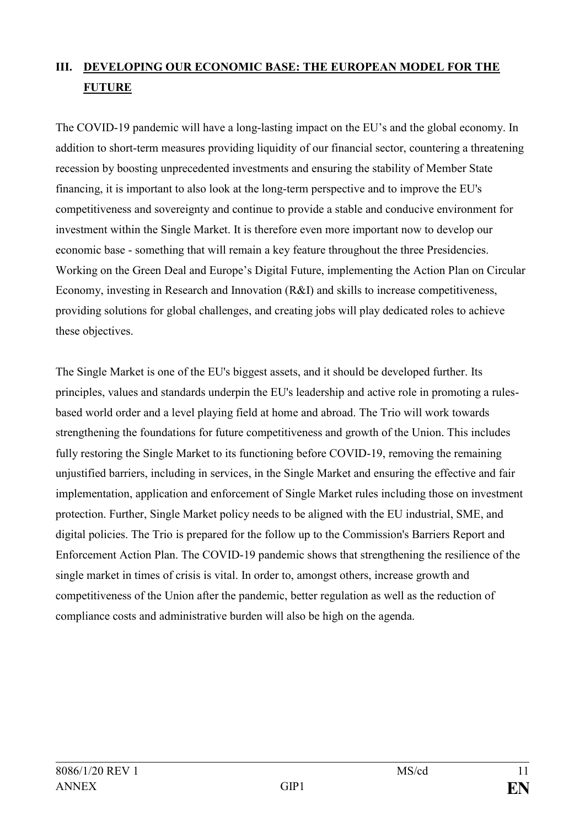# **III. DEVELOPING OUR ECONOMIC BASE: THE EUROPEAN MODEL FOR THE FUTURE**

The COVID-19 pandemic will have a long-lasting impact on the EU's and the global economy. In addition to short-term measures providing liquidity of our financial sector, countering a threatening recession by boosting unprecedented investments and ensuring the stability of Member State financing, it is important to also look at the long-term perspective and to improve the EU's competitiveness and sovereignty and continue to provide a stable and conducive environment for investment within the Single Market. It is therefore even more important now to develop our economic base - something that will remain a key feature throughout the three Presidencies. Working on the Green Deal and Europe's Digital Future, implementing the Action Plan on Circular Economy, investing in Research and Innovation (R&I) and skills to increase competitiveness, providing solutions for global challenges, and creating jobs will play dedicated roles to achieve these objectives.

The Single Market is one of the EU's biggest assets, and it should be developed further. Its principles, values and standards underpin the EU's leadership and active role in promoting a rulesbased world order and a level playing field at home and abroad. The Trio will work towards strengthening the foundations for future competitiveness and growth of the Union. This includes fully restoring the Single Market to its functioning before COVID-19, removing the remaining unjustified barriers, including in services, in the Single Market and ensuring the effective and fair implementation, application and enforcement of Single Market rules including those on investment protection. Further, Single Market policy needs to be aligned with the EU industrial, SME, and digital policies. The Trio is prepared for the follow up to the Commission's Barriers Report and Enforcement Action Plan. The COVID-19 pandemic shows that strengthening the resilience of the single market in times of crisis is vital. In order to, amongst others, increase growth and competitiveness of the Union after the pandemic, better regulation as well as the reduction of compliance costs and administrative burden will also be high on the agenda.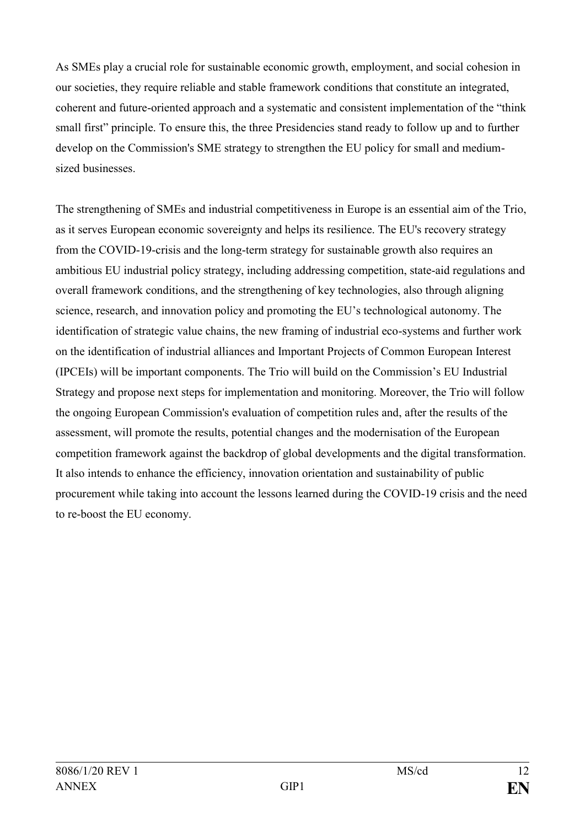As SMEs play a crucial role for sustainable economic growth, employment, and social cohesion in our societies, they require reliable and stable framework conditions that constitute an integrated, coherent and future-oriented approach and a systematic and consistent implementation of the "think small first" principle. To ensure this, the three Presidencies stand ready to follow up and to further develop on the Commission's SME strategy to strengthen the EU policy for small and mediumsized businesses.

The strengthening of SMEs and industrial competitiveness in Europe is an essential aim of the Trio, as it serves European economic sovereignty and helps its resilience. The EU's recovery strategy from the COVID-19-crisis and the long-term strategy for sustainable growth also requires an ambitious EU industrial policy strategy, including addressing competition, state-aid regulations and overall framework conditions, and the strengthening of key technologies, also through aligning science, research, and innovation policy and promoting the EU's technological autonomy. The identification of strategic value chains, the new framing of industrial eco-systems and further work on the identification of industrial alliances and Important Projects of Common European Interest (IPCEIs) will be important components. The Trio will build on the Commission's EU Industrial Strategy and propose next steps for implementation and monitoring. Moreover, the Trio will follow the ongoing European Commission's evaluation of competition rules and, after the results of the assessment, will promote the results, potential changes and the modernisation of the European competition framework against the backdrop of global developments and the digital transformation. It also intends to enhance the efficiency, innovation orientation and sustainability of public procurement while taking into account the lessons learned during the COVID-19 crisis and the need to re-boost the EU economy.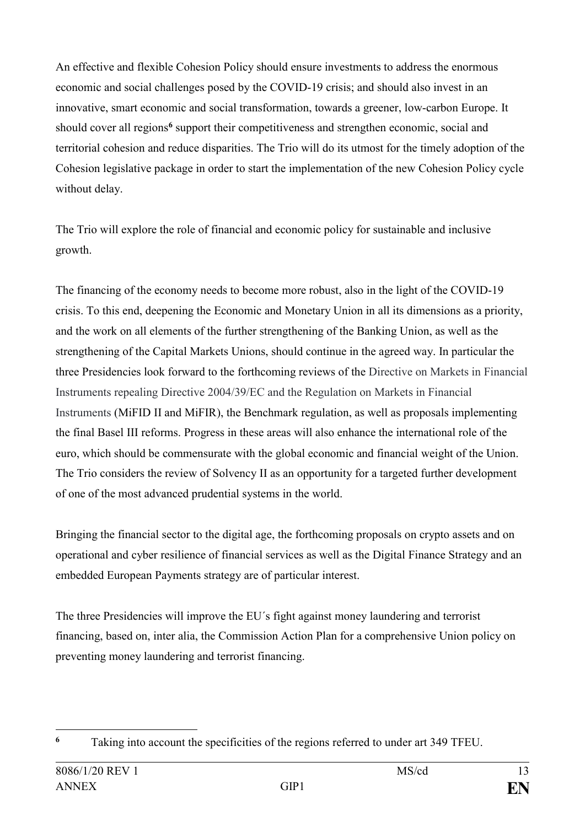An effective and flexible Cohesion Policy should ensure investments to address the enormous economic and social challenges posed by the COVID-19 crisis; and should also invest in an innovative, smart economic and social transformation, towards a greener, low-carbon Europe. It should cover all regions<sup>6</sup> support their competitiveness and strengthen economic, social and territorial cohesion and reduce disparities. The Trio will do its utmost for the timely adoption of the Cohesion legislative package in order to start the implementation of the new Cohesion Policy cycle without delay.

The Trio will explore the role of financial and economic policy for sustainable and inclusive growth.

The financing of the economy needs to become more robust, also in the light of the COVID-19 crisis. To this end, deepening the Economic and Monetary Union in all its dimensions as a priority, and the work on all elements of the further strengthening of the Banking Union, as well as the strengthening of the Capital Markets Unions, should continue in the agreed way. In particular the three Presidencies look forward to the forthcoming reviews of the Directive on Markets in Financial Instruments repealing Directive 2004/39/EC and the Regulation on Markets in Financial Instruments (MiFID II and MiFIR), the Benchmark regulation, as well as proposals implementing the final Basel III reforms. Progress in these areas will also enhance the international role of the euro, which should be commensurate with the global economic and financial weight of the Union. The Trio considers the review of Solvency II as an opportunity for a targeted further development of one of the most advanced prudential systems in the world.

Bringing the financial sector to the digital age, the forthcoming proposals on crypto assets and on operational and cyber resilience of financial services as well as the Digital Finance Strategy and an embedded European Payments strategy are of particular interest.

The three Presidencies will improve the EU´s fight against money laundering and terrorist financing, based on, inter alia, the Commission Action Plan for a comprehensive Union policy on preventing money laundering and terrorist financing.

<sup>1</sup> **<sup>6</sup>** Taking into account the specificities of the regions referred to under art 349 TFEU.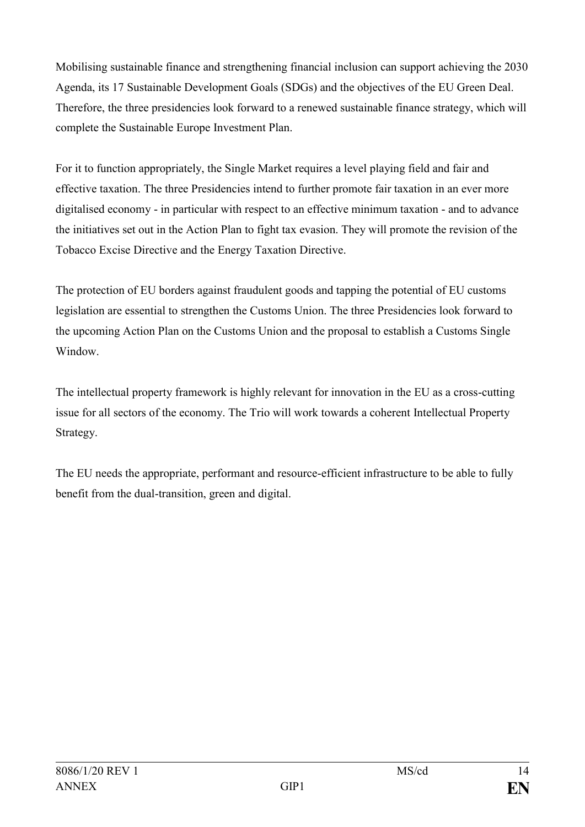Mobilising sustainable finance and strengthening financial inclusion can support achieving the 2030 Agenda, its 17 Sustainable Development Goals (SDGs) and the objectives of the EU Green Deal. Therefore, the three presidencies look forward to a renewed sustainable finance strategy, which will complete the Sustainable Europe Investment Plan.

For it to function appropriately, the Single Market requires a level playing field and fair and effective taxation. The three Presidencies intend to further promote fair taxation in an ever more digitalised economy - in particular with respect to an effective minimum taxation - and to advance the initiatives set out in the Action Plan to fight tax evasion. They will promote the revision of the Tobacco Excise Directive and the Energy Taxation Directive.

The protection of EU borders against fraudulent goods and tapping the potential of EU customs legislation are essential to strengthen the Customs Union. The three Presidencies look forward to the upcoming Action Plan on the Customs Union and the proposal to establish a Customs Single Window.

The intellectual property framework is highly relevant for innovation in the EU as a cross-cutting issue for all sectors of the economy. The Trio will work towards a coherent Intellectual Property Strategy.

The EU needs the appropriate, performant and resource-efficient infrastructure to be able to fully benefit from the dual-transition, green and digital.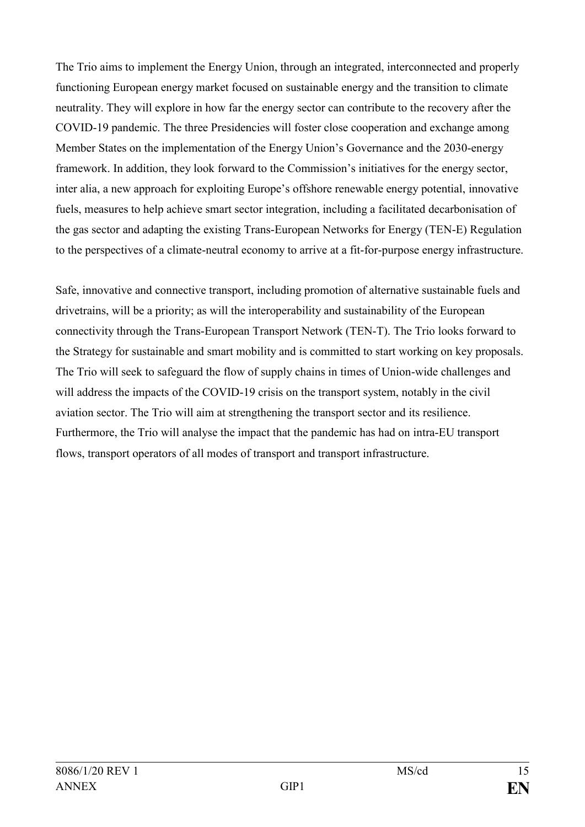The Trio aims to implement the Energy Union, through an integrated, interconnected and properly functioning European energy market focused on sustainable energy and the transition to climate neutrality. They will explore in how far the energy sector can contribute to the recovery after the COVID-19 pandemic. The three Presidencies will foster close cooperation and exchange among Member States on the implementation of the Energy Union's Governance and the 2030-energy framework. In addition, they look forward to the Commission's initiatives for the energy sector, inter alia, a new approach for exploiting Europe's offshore renewable energy potential, innovative fuels, measures to help achieve smart sector integration, including a facilitated decarbonisation of the gas sector and adapting the existing Trans-European Networks for Energy (TEN-E) Regulation to the perspectives of a climate-neutral economy to arrive at a fit-for-purpose energy infrastructure.

Safe, innovative and connective transport, including promotion of alternative sustainable fuels and drivetrains, will be a priority; as will the interoperability and sustainability of the European connectivity through the Trans-European Transport Network (TEN-T). The Trio looks forward to the Strategy for sustainable and smart mobility and is committed to start working on key proposals. The Trio will seek to safeguard the flow of supply chains in times of Union-wide challenges and will address the impacts of the COVID-19 crisis on the transport system, notably in the civil aviation sector. The Trio will aim at strengthening the transport sector and its resilience. Furthermore, the Trio will analyse the impact that the pandemic has had on intra-EU transport flows, transport operators of all modes of transport and transport infrastructure.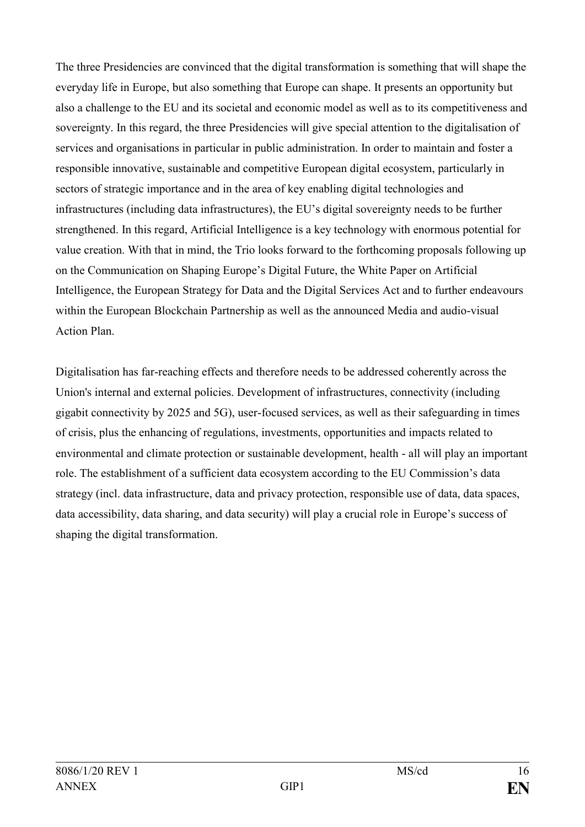The three Presidencies are convinced that the digital transformation is something that will shape the everyday life in Europe, but also something that Europe can shape. It presents an opportunity but also a challenge to the EU and its societal and economic model as well as to its competitiveness and sovereignty. In this regard, the three Presidencies will give special attention to the digitalisation of services and organisations in particular in public administration. In order to maintain and foster a responsible innovative, sustainable and competitive European digital ecosystem, particularly in sectors of strategic importance and in the area of key enabling digital technologies and infrastructures (including data infrastructures), the EU's digital sovereignty needs to be further strengthened. In this regard, Artificial Intelligence is a key technology with enormous potential for value creation. With that in mind, the Trio looks forward to the forthcoming proposals following up on the Communication on Shaping Europe's Digital Future, the White Paper on Artificial Intelligence, the European Strategy for Data and the Digital Services Act and to further endeavours within the European Blockchain Partnership as well as the announced Media and audio-visual Action Plan.

Digitalisation has far-reaching effects and therefore needs to be addressed coherently across the Union's internal and external policies. Development of infrastructures, connectivity (including gigabit connectivity by 2025 and 5G), user-focused services, as well as their safeguarding in times of crisis, plus the enhancing of regulations, investments, opportunities and impacts related to environmental and climate protection or sustainable development, health - all will play an important role. The establishment of a sufficient data ecosystem according to the EU Commission's data strategy (incl. data infrastructure, data and privacy protection, responsible use of data, data spaces, data accessibility, data sharing, and data security) will play a crucial role in Europe's success of shaping the digital transformation.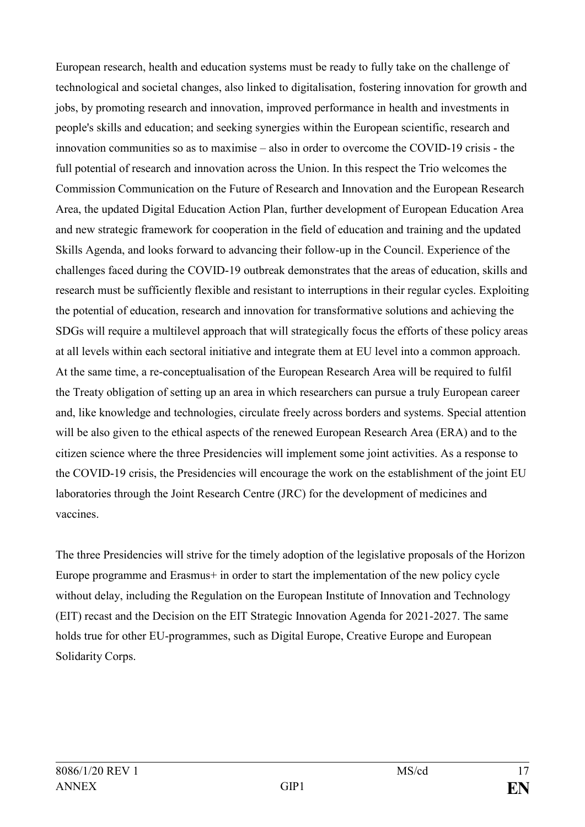European research, health and education systems must be ready to fully take on the challenge of technological and societal changes, also linked to digitalisation, fostering innovation for growth and jobs, by promoting research and innovation, improved performance in health and investments in people's skills and education; and seeking synergies within the European scientific, research and innovation communities so as to maximise – also in order to overcome the COVID-19 crisis - the full potential of research and innovation across the Union. In this respect the Trio welcomes the Commission Communication on the Future of Research and Innovation and the European Research Area, the updated Digital Education Action Plan, further development of European Education Area and new strategic framework for cooperation in the field of education and training and the updated Skills Agenda, and looks forward to advancing their follow-up in the Council. Experience of the challenges faced during the COVID-19 outbreak demonstrates that the areas of education, skills and research must be sufficiently flexible and resistant to interruptions in their regular cycles. Exploiting the potential of education, research and innovation for transformative solutions and achieving the SDGs will require a multilevel approach that will strategically focus the efforts of these policy areas at all levels within each sectoral initiative and integrate them at EU level into a common approach. At the same time, a re-conceptualisation of the European Research Area will be required to fulfil the Treaty obligation of setting up an area in which researchers can pursue a truly European career and, like knowledge and technologies, circulate freely across borders and systems. Special attention will be also given to the ethical aspects of the renewed European Research Area (ERA) and to the citizen science where the three Presidencies will implement some joint activities. As a response to the COVID-19 crisis, the Presidencies will encourage the work on the establishment of the joint EU laboratories through the Joint Research Centre (JRC) for the development of medicines and vaccines.

The three Presidencies will strive for the timely adoption of the legislative proposals of the Horizon Europe programme and Erasmus+ in order to start the implementation of the new policy cycle without delay, including the Regulation on the European Institute of Innovation and Technology (EIT) recast and the Decision on the EIT Strategic Innovation Agenda for 2021-2027. The same holds true for other EU-programmes, such as Digital Europe, Creative Europe and European Solidarity Corps.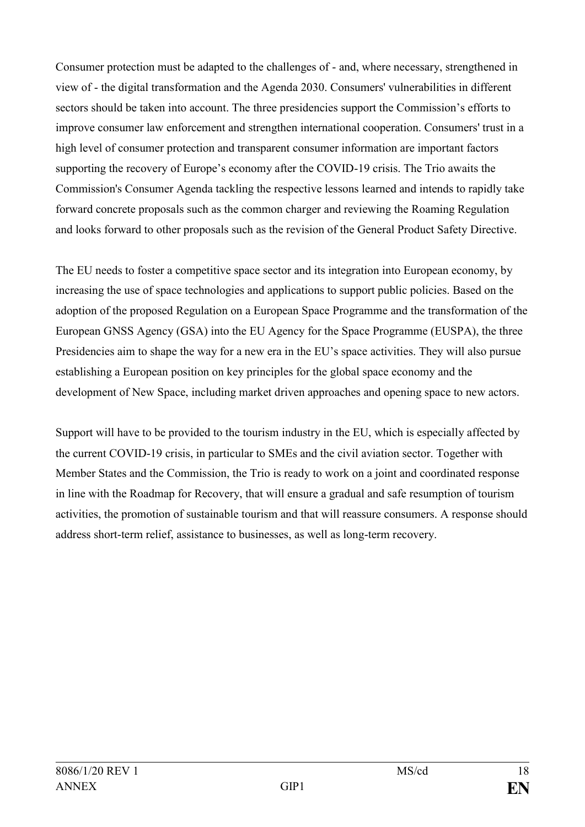Consumer protection must be adapted to the challenges of - and, where necessary, strengthened in view of - the digital transformation and the Agenda 2030. Consumers' vulnerabilities in different sectors should be taken into account. The three presidencies support the Commission's efforts to improve consumer law enforcement and strengthen international cooperation. Consumers' trust in a high level of consumer protection and transparent consumer information are important factors supporting the recovery of Europe's economy after the COVID-19 crisis. The Trio awaits the Commission's Consumer Agenda tackling the respective lessons learned and intends to rapidly take forward concrete proposals such as the common charger and reviewing the Roaming Regulation and looks forward to other proposals such as the revision of the General Product Safety Directive.

The EU needs to foster a competitive space sector and its integration into European economy, by increasing the use of space technologies and applications to support public policies. Based on the adoption of the proposed Regulation on a European Space Programme and the transformation of the European GNSS Agency (GSA) into the EU Agency for the Space Programme (EUSPA), the three Presidencies aim to shape the way for a new era in the EU's space activities. They will also pursue establishing a European position on key principles for the global space economy and the development of New Space, including market driven approaches and opening space to new actors.

Support will have to be provided to the tourism industry in the EU, which is especially affected by the current COVID-19 crisis, in particular to SMEs and the civil aviation sector. Together with Member States and the Commission, the Trio is ready to work on a joint and coordinated response in line with the Roadmap for Recovery, that will ensure a gradual and safe resumption of tourism activities, the promotion of sustainable tourism and that will reassure consumers. A response should address short-term relief, assistance to businesses, as well as long-term recovery.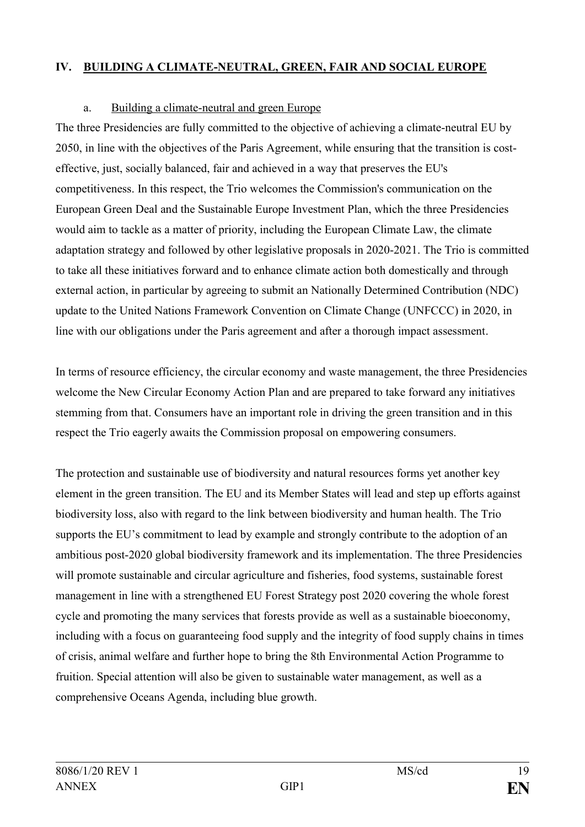## **IV. BUILDING A CLIMATE-NEUTRAL, GREEN, FAIR AND SOCIAL EUROPE**

## a. Building a climate-neutral and green Europe

The three Presidencies are fully committed to the objective of achieving a climate-neutral EU by 2050, in line with the objectives of the Paris Agreement, while ensuring that the transition is costeffective, just, socially balanced, fair and achieved in a way that preserves the EU's competitiveness. In this respect, the Trio welcomes the Commission's communication on the European Green Deal and the Sustainable Europe Investment Plan, which the three Presidencies would aim to tackle as a matter of priority, including the European Climate Law, the climate adaptation strategy and followed by other legislative proposals in 2020-2021. The Trio is committed to take all these initiatives forward and to enhance climate action both domestically and through external action, in particular by agreeing to submit an Nationally Determined Contribution (NDC) update to the United Nations Framework Convention on Climate Change (UNFCCC) in 2020, in line with our obligations under the Paris agreement and after a thorough impact assessment.

In terms of resource efficiency, the circular economy and waste management, the three Presidencies welcome the New Circular Economy Action Plan and are prepared to take forward any initiatives stemming from that. Consumers have an important role in driving the green transition and in this respect the Trio eagerly awaits the Commission proposal on empowering consumers.

The protection and sustainable use of biodiversity and natural resources forms yet another key element in the green transition. The EU and its Member States will lead and step up efforts against biodiversity loss, also with regard to the link between biodiversity and human health. The Trio supports the EU's commitment to lead by example and strongly contribute to the adoption of an ambitious post-2020 global biodiversity framework and its implementation. The three Presidencies will promote sustainable and circular agriculture and fisheries, food systems, sustainable forest management in line with a strengthened EU Forest Strategy post 2020 covering the whole forest cycle and promoting the many services that forests provide as well as a sustainable bioeconomy, including with a focus on guaranteeing food supply and the integrity of food supply chains in times of crisis, animal welfare and further hope to bring the 8th Environmental Action Programme to fruition. Special attention will also be given to sustainable water management, as well as a comprehensive Oceans Agenda, including blue growth.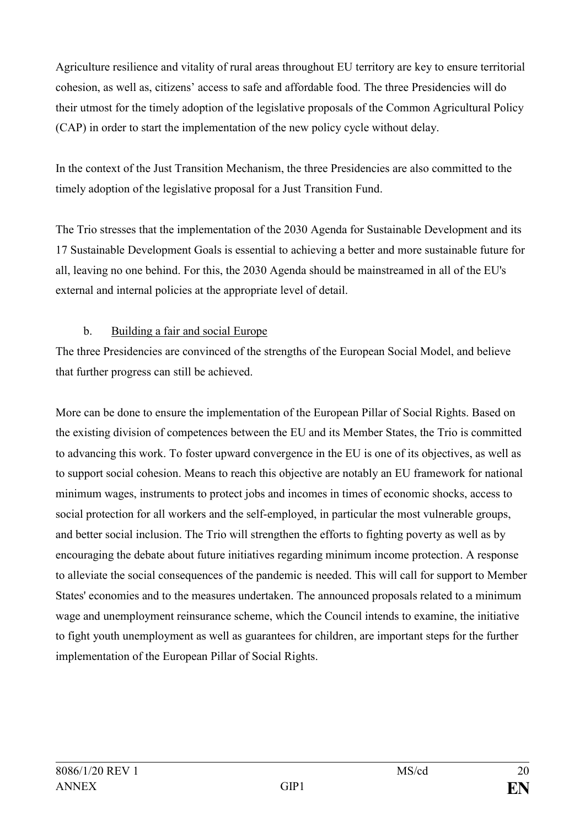Agriculture resilience and vitality of rural areas throughout EU territory are key to ensure territorial cohesion, as well as, citizens' access to safe and affordable food. The three Presidencies will do their utmost for the timely adoption of the legislative proposals of the Common Agricultural Policy (CAP) in order to start the implementation of the new policy cycle without delay.

In the context of the Just Transition Mechanism, the three Presidencies are also committed to the timely adoption of the legislative proposal for a Just Transition Fund.

The Trio stresses that the implementation of the 2030 Agenda for Sustainable Development and its 17 Sustainable Development Goals is essential to achieving a better and more sustainable future for all, leaving no one behind. For this, the 2030 Agenda should be mainstreamed in all of the EU's external and internal policies at the appropriate level of detail.

# b. Building a fair and social Europe

The three Presidencies are convinced of the strengths of the European Social Model, and believe that further progress can still be achieved.

More can be done to ensure the implementation of the European Pillar of Social Rights. Based on the existing division of competences between the EU and its Member States, the Trio is committed to advancing this work. To foster upward convergence in the EU is one of its objectives, as well as to support social cohesion. Means to reach this objective are notably an EU framework for national minimum wages, instruments to protect jobs and incomes in times of economic shocks, access to social protection for all workers and the self-employed, in particular the most vulnerable groups, and better social inclusion. The Trio will strengthen the efforts to fighting poverty as well as by encouraging the debate about future initiatives regarding minimum income protection. A response to alleviate the social consequences of the pandemic is needed. This will call for support to Member States' economies and to the measures undertaken. The announced proposals related to a minimum wage and unemployment reinsurance scheme, which the Council intends to examine, the initiative to fight youth unemployment as well as guarantees for children, are important steps for the further implementation of the European Pillar of Social Rights.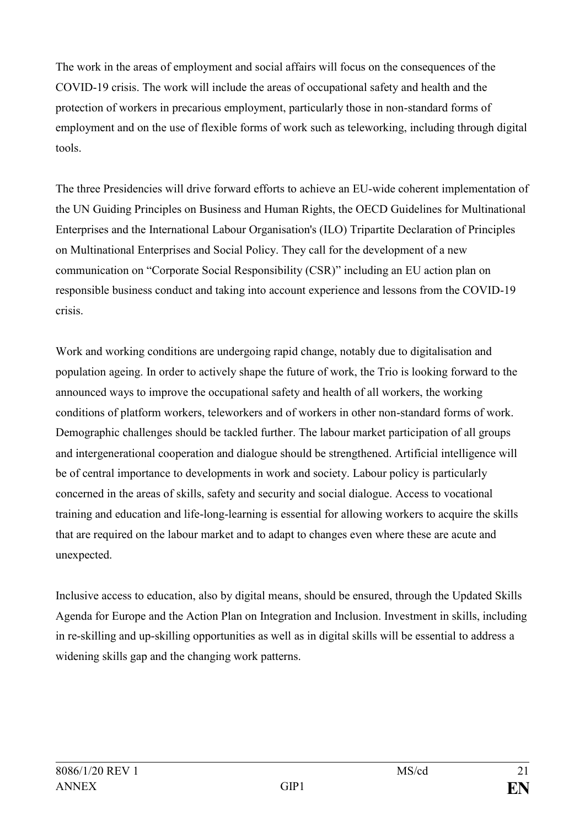The work in the areas of employment and social affairs will focus on the consequences of the COVID-19 crisis. The work will include the areas of occupational safety and health and the protection of workers in precarious employment, particularly those in non-standard forms of employment and on the use of flexible forms of work such as teleworking, including through digital tools.

The three Presidencies will drive forward efforts to achieve an EU-wide coherent implementation of the UN Guiding Principles on Business and Human Rights, the OECD Guidelines for Multinational Enterprises and the International Labour Organisation's (ILO) Tripartite Declaration of Principles on Multinational Enterprises and Social Policy. They call for the development of a new communication on "Corporate Social Responsibility (CSR)" including an EU action plan on responsible business conduct and taking into account experience and lessons from the COVID-19 crisis.

Work and working conditions are undergoing rapid change, notably due to digitalisation and population ageing. In order to actively shape the future of work, the Trio is looking forward to the announced ways to improve the occupational safety and health of all workers, the working conditions of platform workers, teleworkers and of workers in other non-standard forms of work. Demographic challenges should be tackled further. The labour market participation of all groups and intergenerational cooperation and dialogue should be strengthened. Artificial intelligence will be of central importance to developments in work and society. Labour policy is particularly concerned in the areas of skills, safety and security and social dialogue. Access to vocational training and education and life-long-learning is essential for allowing workers to acquire the skills that are required on the labour market and to adapt to changes even where these are acute and unexpected.

Inclusive access to education, also by digital means, should be ensured, through the Updated Skills Agenda for Europe and the Action Plan on Integration and Inclusion. Investment in skills, including in re-skilling and up-skilling opportunities as well as in digital skills will be essential to address a widening skills gap and the changing work patterns.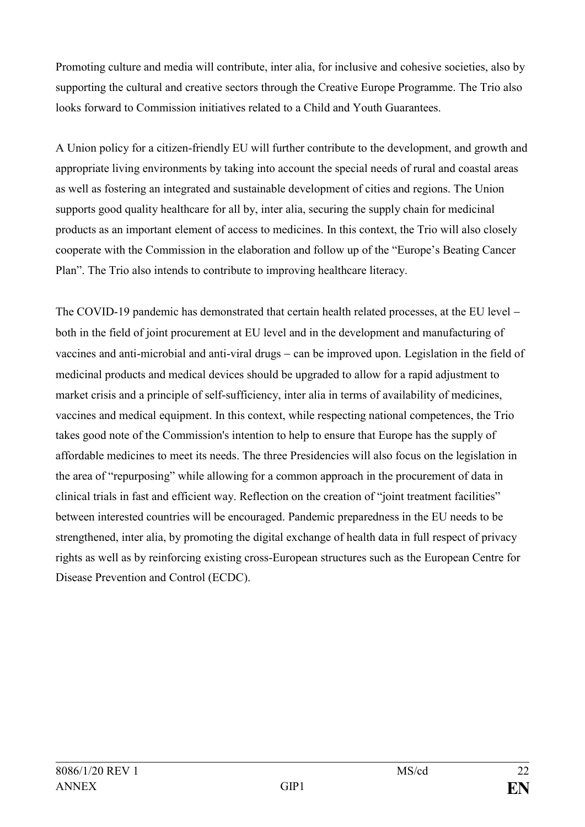Promoting culture and media will contribute, inter alia, for inclusive and cohesive societies, also by supporting the cultural and creative sectors through the Creative Europe Programme. The Trio also looks forward to Commission initiatives related to a Child and Youth Guarantees.

A Union policy for a citizen-friendly EU will further contribute to the development, and growth and appropriate living environments by taking into account the special needs of rural and coastal areas as well as fostering an integrated and sustainable development of cities and regions. The Union supports good quality healthcare for all by, inter alia, securing the supply chain for medicinal products as an important element of access to medicines. In this context, the Trio will also closely cooperate with the Commission in the elaboration and follow up of the "Europe's Beating Cancer Plan". The Trio also intends to contribute to improving healthcare literacy.

The COVID-19 pandemic has demonstrated that certain health related processes, at the EU level – both in the field of joint procurement at EU level and in the development and manufacturing of vaccines and anti-microbial and anti-viral drugs – can be improved upon. Legislation in the field of medicinal products and medical devices should be upgraded to allow for a rapid adjustment to market crisis and a principle of self-sufficiency, inter alia in terms of availability of medicines, vaccines and medical equipment. In this context, while respecting national competences, the Trio takes good note of the Commission's intention to help to ensure that Europe has the supply of affordable medicines to meet its needs. The three Presidencies will also focus on the legislation in the area of "repurposing" while allowing for a common approach in the procurement of data in clinical trials in fast and efficient way. Reflection on the creation of "joint treatment facilities" between interested countries will be encouraged. Pandemic preparedness in the EU needs to be strengthened, inter alia, by promoting the digital exchange of health data in full respect of privacy rights as well as by reinforcing existing cross-European structures such as the European Centre for Disease Prevention and Control (ECDC).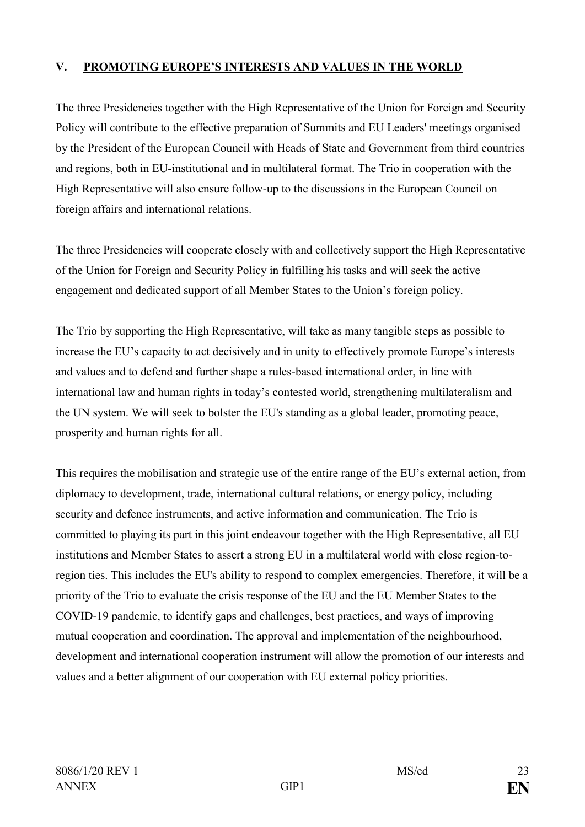# **V. PROMOTING EUROPE'S INTERESTS AND VALUES IN THE WORLD**

The three Presidencies together with the High Representative of the Union for Foreign and Security Policy will contribute to the effective preparation of Summits and EU Leaders' meetings organised by the President of the European Council with Heads of State and Government from third countries and regions, both in EU-institutional and in multilateral format. The Trio in cooperation with the High Representative will also ensure follow-up to the discussions in the European Council on foreign affairs and international relations.

The three Presidencies will cooperate closely with and collectively support the High Representative of the Union for Foreign and Security Policy in fulfilling his tasks and will seek the active engagement and dedicated support of all Member States to the Union's foreign policy.

The Trio by supporting the High Representative, will take as many tangible steps as possible to increase the EU's capacity to act decisively and in unity to effectively promote Europe's interests and values and to defend and further shape a rules-based international order, in line with international law and human rights in today's contested world, strengthening multilateralism and the UN system. We will seek to bolster the EU's standing as a global leader, promoting peace, prosperity and human rights for all.

This requires the mobilisation and strategic use of the entire range of the EU's external action, from diplomacy to development, trade, international cultural relations, or energy policy, including security and defence instruments, and active information and communication. The Trio is committed to playing its part in this joint endeavour together with the High Representative, all EU institutions and Member States to assert a strong EU in a multilateral world with close region-toregion ties. This includes the EU's ability to respond to complex emergencies. Therefore, it will be a priority of the Trio to evaluate the crisis response of the EU and the EU Member States to the COVID-19 pandemic, to identify gaps and challenges, best practices, and ways of improving mutual cooperation and coordination. The approval and implementation of the neighbourhood, development and international cooperation instrument will allow the promotion of our interests and values and a better alignment of our cooperation with EU external policy priorities.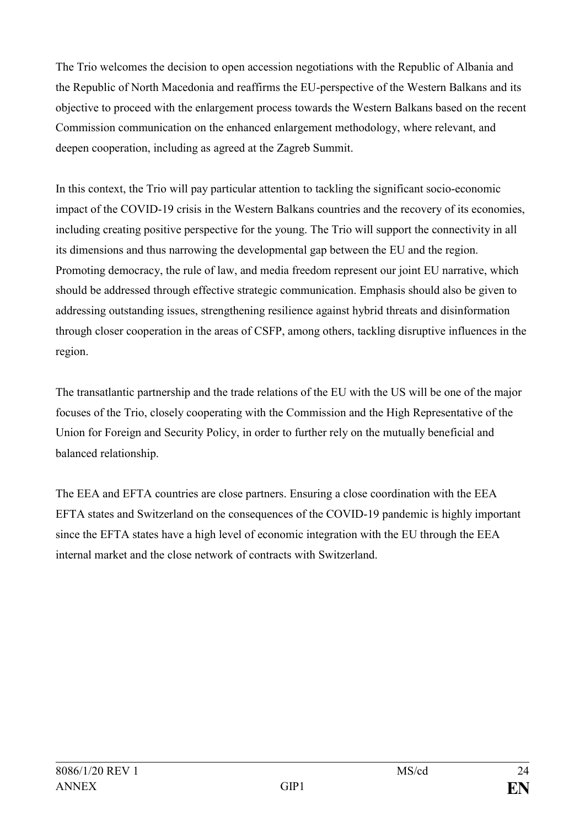The Trio welcomes the decision to open accession negotiations with the Republic of Albania and the Republic of North Macedonia and reaffirms the EU-perspective of the Western Balkans and its objective to proceed with the enlargement process towards the Western Balkans based on the recent Commission communication on the enhanced enlargement methodology, where relevant, and deepen cooperation, including as agreed at the Zagreb Summit.

In this context, the Trio will pay particular attention to tackling the significant socio-economic impact of the COVID-19 crisis in the Western Balkans countries and the recovery of its economies, including creating positive perspective for the young. The Trio will support the connectivity in all its dimensions and thus narrowing the developmental gap between the EU and the region. Promoting democracy, the rule of law, and media freedom represent our joint EU narrative, which should be addressed through effective strategic communication. Emphasis should also be given to addressing outstanding issues, strengthening resilience against hybrid threats and disinformation through closer cooperation in the areas of CSFP, among others, tackling disruptive influences in the region.

The transatlantic partnership and the trade relations of the EU with the US will be one of the major focuses of the Trio, closely cooperating with the Commission and the High Representative of the Union for Foreign and Security Policy, in order to further rely on the mutually beneficial and balanced relationship.

The EEA and EFTA countries are close partners. Ensuring a close coordination with the EEA EFTA states and Switzerland on the consequences of the COVID-19 pandemic is highly important since the EFTA states have a high level of economic integration with the EU through the EEA internal market and the close network of contracts with Switzerland.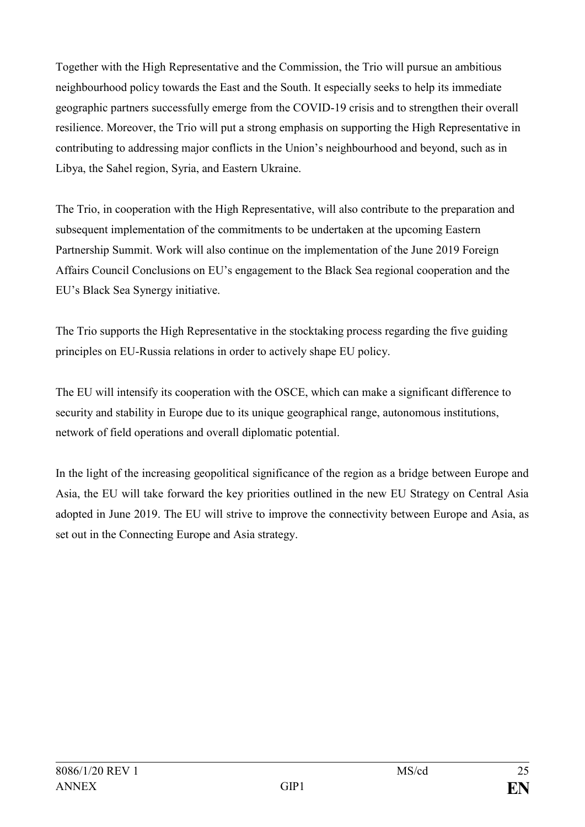Together with the High Representative and the Commission, the Trio will pursue an ambitious neighbourhood policy towards the East and the South. It especially seeks to help its immediate geographic partners successfully emerge from the COVID-19 crisis and to strengthen their overall resilience. Moreover, the Trio will put a strong emphasis on supporting the High Representative in contributing to addressing major conflicts in the Union's neighbourhood and beyond, such as in Libya, the Sahel region, Syria, and Eastern Ukraine.

The Trio, in cooperation with the High Representative, will also contribute to the preparation and subsequent implementation of the commitments to be undertaken at the upcoming Eastern Partnership Summit. Work will also continue on the implementation of the June 2019 Foreign Affairs Council Conclusions on EU's engagement to the Black Sea regional cooperation and the EU's Black Sea Synergy initiative.

The Trio supports the High Representative in the stocktaking process regarding the five guiding principles on EU-Russia relations in order to actively shape EU policy.

The EU will intensify its cooperation with the OSCE, which can make a significant difference to security and stability in Europe due to its unique geographical range, autonomous institutions, network of field operations and overall diplomatic potential.

In the light of the increasing geopolitical significance of the region as a bridge between Europe and Asia, the EU will take forward the key priorities outlined in the new EU Strategy on Central Asia adopted in June 2019. The EU will strive to improve the connectivity between Europe and Asia, as set out in the Connecting Europe and Asia strategy.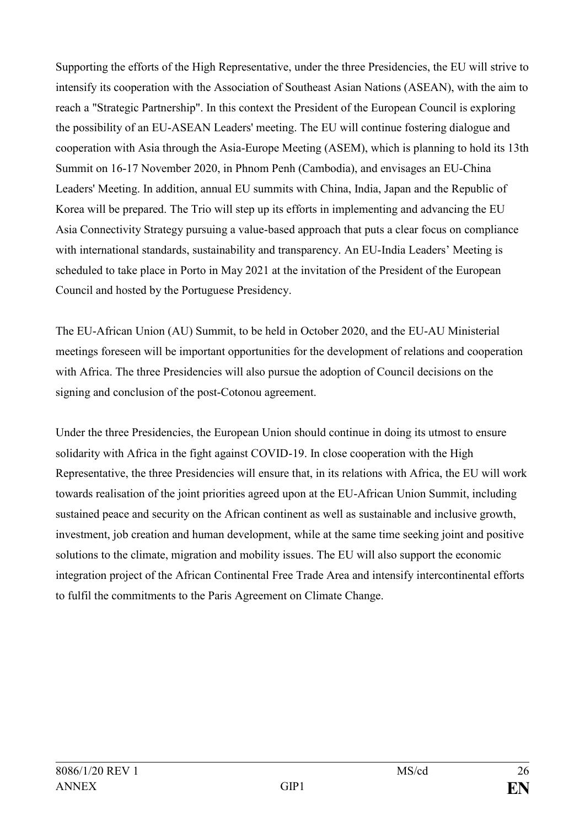Supporting the efforts of the High Representative, under the three Presidencies, the EU will strive to intensify its cooperation with the Association of Southeast Asian Nations (ASEAN), with the aim to reach a "Strategic Partnership". In this context the President of the European Council is exploring the possibility of an EU-ASEAN Leaders' meeting. The EU will continue fostering dialogue and cooperation with Asia through the Asia-Europe Meeting (ASEM), which is planning to hold its 13th Summit on 16-17 November 2020, in Phnom Penh (Cambodia), and envisages an EU-China Leaders' Meeting. In addition, annual EU summits with China, India, Japan and the Republic of Korea will be prepared. The Trio will step up its efforts in implementing and advancing the EU Asia Connectivity Strategy pursuing a value-based approach that puts a clear focus on compliance with international standards, sustainability and transparency. An EU-India Leaders' Meeting is scheduled to take place in Porto in May 2021 at the invitation of the President of the European Council and hosted by the Portuguese Presidency.

The EU-African Union (AU) Summit, to be held in October 2020, and the EU-AU Ministerial meetings foreseen will be important opportunities for the development of relations and cooperation with Africa. The three Presidencies will also pursue the adoption of Council decisions on the signing and conclusion of the post-Cotonou agreement.

Under the three Presidencies, the European Union should continue in doing its utmost to ensure solidarity with Africa in the fight against COVID-19. In close cooperation with the High Representative, the three Presidencies will ensure that, in its relations with Africa, the EU will work towards realisation of the joint priorities agreed upon at the EU-African Union Summit, including sustained peace and security on the African continent as well as sustainable and inclusive growth, investment, job creation and human development, while at the same time seeking joint and positive solutions to the climate, migration and mobility issues. The EU will also support the economic integration project of the African Continental Free Trade Area and intensify intercontinental efforts to fulfil the commitments to the Paris Agreement on Climate Change.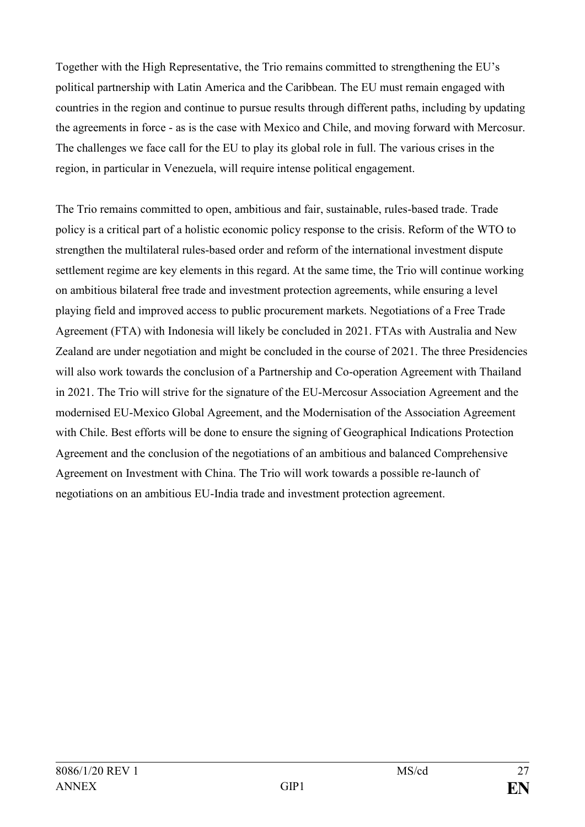Together with the High Representative, the Trio remains committed to strengthening the EU's political partnership with Latin America and the Caribbean. The EU must remain engaged with countries in the region and continue to pursue results through different paths, including by updating the agreements in force - as is the case with Mexico and Chile, and moving forward with Mercosur. The challenges we face call for the EU to play its global role in full. The various crises in the region, in particular in Venezuela, will require intense political engagement.

The Trio remains committed to open, ambitious and fair, sustainable, rules-based trade. Trade policy is a critical part of a holistic economic policy response to the crisis. Reform of the WTO to strengthen the multilateral rules-based order and reform of the international investment dispute settlement regime are key elements in this regard. At the same time, the Trio will continue working on ambitious bilateral free trade and investment protection agreements, while ensuring a level playing field and improved access to public procurement markets. Negotiations of a Free Trade Agreement (FTA) with Indonesia will likely be concluded in 2021. FTAs with Australia and New Zealand are under negotiation and might be concluded in the course of 2021. The three Presidencies will also work towards the conclusion of a Partnership and Co-operation Agreement with Thailand in 2021. The Trio will strive for the signature of the EU-Mercosur Association Agreement and the modernised EU-Mexico Global Agreement, and the Modernisation of the Association Agreement with Chile. Best efforts will be done to ensure the signing of Geographical Indications Protection Agreement and the conclusion of the negotiations of an ambitious and balanced Comprehensive Agreement on Investment with China. The Trio will work towards a possible re-launch of negotiations on an ambitious EU-India trade and investment protection agreement.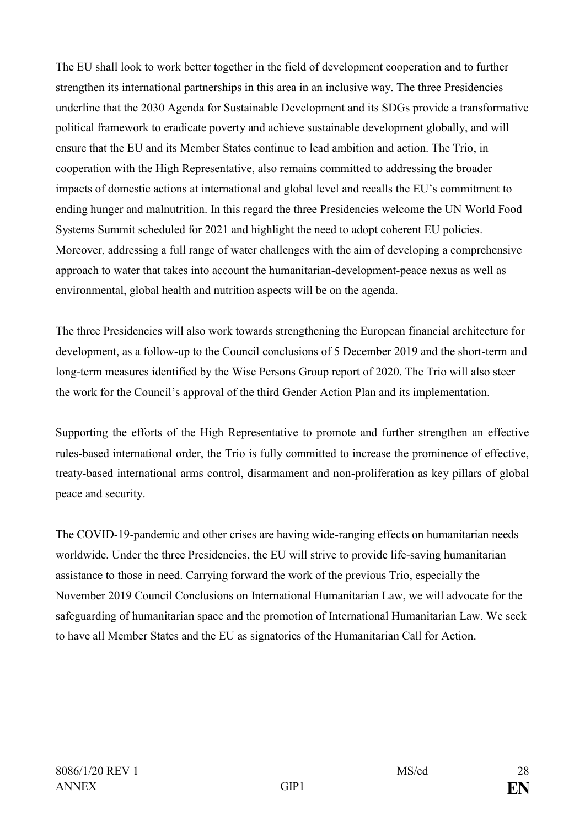The EU shall look to work better together in the field of development cooperation and to further strengthen its international partnerships in this area in an inclusive way. The three Presidencies underline that the 2030 Agenda for Sustainable Development and its SDGs provide a transformative political framework to eradicate poverty and achieve sustainable development globally, and will ensure that the EU and its Member States continue to lead ambition and action. The Trio, in cooperation with the High Representative, also remains committed to addressing the broader impacts of domestic actions at international and global level and recalls the EU's commitment to ending hunger and malnutrition. In this regard the three Presidencies welcome the UN World Food Systems Summit scheduled for 2021 and highlight the need to adopt coherent EU policies. Moreover, addressing a full range of water challenges with the aim of developing a comprehensive approach to water that takes into account the humanitarian-development-peace nexus as well as environmental, global health and nutrition aspects will be on the agenda.

The three Presidencies will also work towards strengthening the European financial architecture for development, as a follow-up to the Council conclusions of 5 December 2019 and the short-term and long-term measures identified by the Wise Persons Group report of 2020. The Trio will also steer the work for the Council's approval of the third Gender Action Plan and its implementation.

Supporting the efforts of the High Representative to promote and further strengthen an effective rules-based international order, the Trio is fully committed to increase the prominence of effective, treaty-based international arms control, disarmament and non-proliferation as key pillars of global peace and security.

The COVID-19-pandemic and other crises are having wide-ranging effects on humanitarian needs worldwide. Under the three Presidencies, the EU will strive to provide life-saving humanitarian assistance to those in need. Carrying forward the work of the previous Trio, especially the November 2019 Council Conclusions on International Humanitarian Law, we will advocate for the safeguarding of humanitarian space and the promotion of International Humanitarian Law. We seek to have all Member States and the EU as signatories of the Humanitarian Call for Action.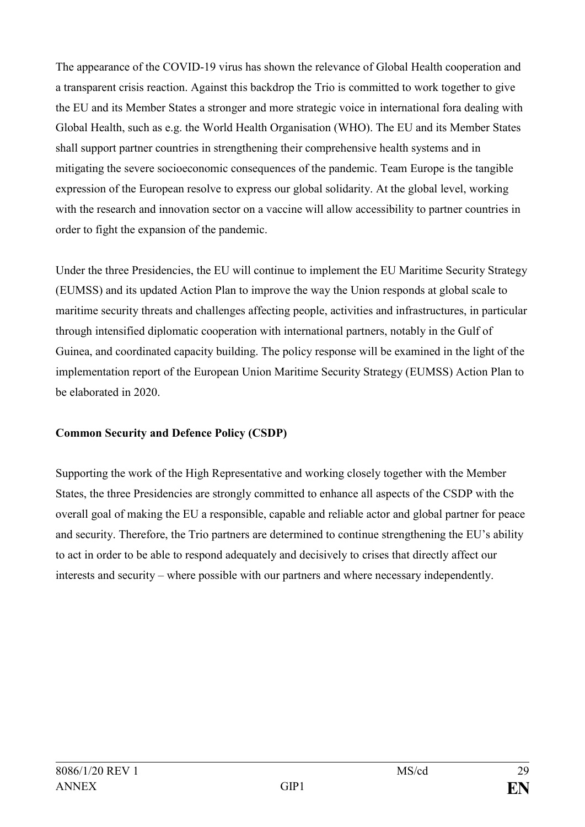The appearance of the COVID-19 virus has shown the relevance of Global Health cooperation and a transparent crisis reaction. Against this backdrop the Trio is committed to work together to give the EU and its Member States a stronger and more strategic voice in international fora dealing with Global Health, such as e.g. the World Health Organisation (WHO). The EU and its Member States shall support partner countries in strengthening their comprehensive health systems and in mitigating the severe socioeconomic consequences of the pandemic. Team Europe is the tangible expression of the European resolve to express our global solidarity. At the global level, working with the research and innovation sector on a vaccine will allow accessibility to partner countries in order to fight the expansion of the pandemic.

Under the three Presidencies, the EU will continue to implement the EU Maritime Security Strategy (EUMSS) and its updated Action Plan to improve the way the Union responds at global scale to maritime security threats and challenges affecting people, activities and infrastructures, in particular through intensified diplomatic cooperation with international partners, notably in the Gulf of Guinea, and coordinated capacity building. The policy response will be examined in the light of the implementation report of the European Union Maritime Security Strategy (EUMSS) Action Plan to be elaborated in 2020.

# **Common Security and Defence Policy (CSDP)**

Supporting the work of the High Representative and working closely together with the Member States, the three Presidencies are strongly committed to enhance all aspects of the CSDP with the overall goal of making the EU a responsible, capable and reliable actor and global partner for peace and security. Therefore, the Trio partners are determined to continue strengthening the EU's ability to act in order to be able to respond adequately and decisively to crises that directly affect our interests and security – where possible with our partners and where necessary independently.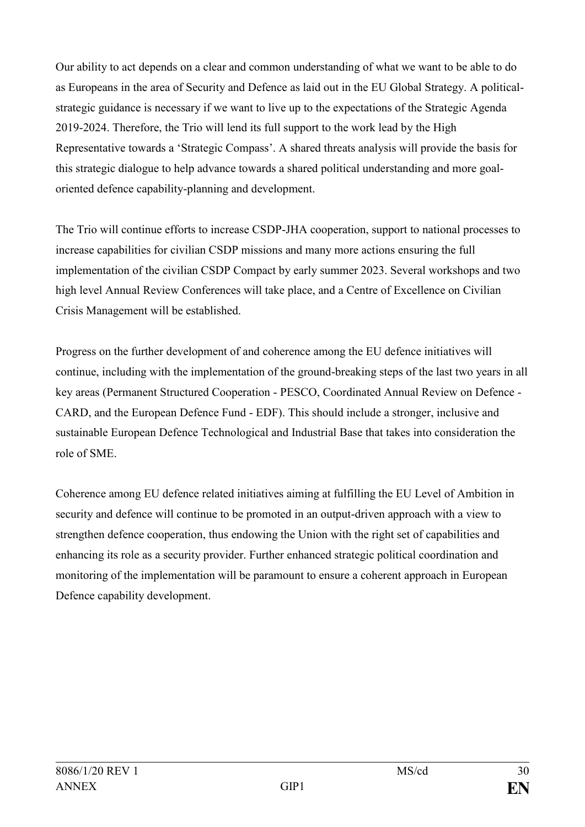Our ability to act depends on a clear and common understanding of what we want to be able to do as Europeans in the area of Security and Defence as laid out in the EU Global Strategy. A politicalstrategic guidance is necessary if we want to live up to the expectations of the Strategic Agenda 2019-2024. Therefore, the Trio will lend its full support to the work lead by the High Representative towards a 'Strategic Compass'. A shared threats analysis will provide the basis for this strategic dialogue to help advance towards a shared political understanding and more goaloriented defence capability-planning and development.

The Trio will continue efforts to increase CSDP-JHA cooperation, support to national processes to increase capabilities for civilian CSDP missions and many more actions ensuring the full implementation of the civilian CSDP Compact by early summer 2023. Several workshops and two high level Annual Review Conferences will take place, and a Centre of Excellence on Civilian Crisis Management will be established.

Progress on the further development of and coherence among the EU defence initiatives will continue, including with the implementation of the ground-breaking steps of the last two years in all key areas (Permanent Structured Cooperation - PESCO, Coordinated Annual Review on Defence - CARD, and the European Defence Fund - EDF). This should include a stronger, inclusive and sustainable European Defence Technological and Industrial Base that takes into consideration the role of SME.

Coherence among EU defence related initiatives aiming at fulfilling the EU Level of Ambition in security and defence will continue to be promoted in an output-driven approach with a view to strengthen defence cooperation, thus endowing the Union with the right set of capabilities and enhancing its role as a security provider. Further enhanced strategic political coordination and monitoring of the implementation will be paramount to ensure a coherent approach in European Defence capability development.